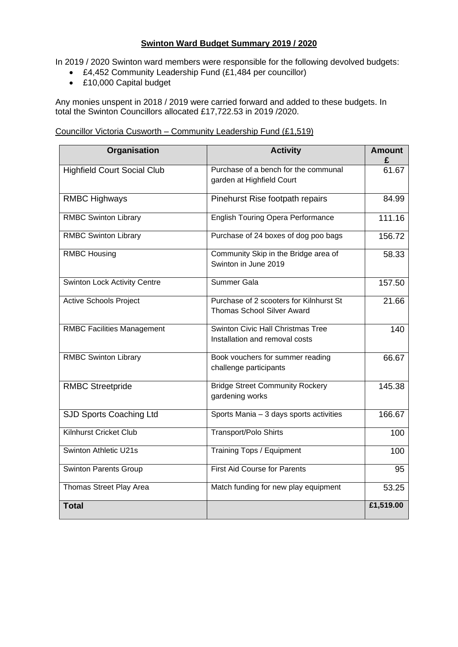#### **Swinton Ward Budget Summary 2019 / 2020**

In 2019 / 2020 Swinton ward members were responsible for the following devolved budgets:

- £4,452 Community Leadership Fund (£1,484 per councillor)
- £10,000 Capital budget

Any monies unspent in 2018 / 2019 were carried forward and added to these budgets. In total the Swinton Councillors allocated £17,722.53 in 2019 /2020.

#### Councillor Victoria Cusworth – Community Leadership Fund (£1,519)

| Organisation                        | <b>Activity</b>                                                              | <b>Amount</b> |
|-------------------------------------|------------------------------------------------------------------------------|---------------|
| <b>Highfield Court Social Club</b>  | Purchase of a bench for the communal<br>garden at Highfield Court            | 61.67         |
| <b>RMBC Highways</b>                | Pinehurst Rise footpath repairs                                              | 84.99         |
| <b>RMBC Swinton Library</b>         | <b>English Touring Opera Performance</b>                                     | 111.16        |
| <b>RMBC Swinton Library</b>         | Purchase of 24 boxes of dog poo bags                                         | 156.72        |
| <b>RMBC Housing</b>                 | Community Skip in the Bridge area of<br>Swinton in June 2019                 | 58.33         |
| <b>Swinton Lock Activity Centre</b> | Summer Gala                                                                  | 157.50        |
| <b>Active Schools Project</b>       | Purchase of 2 scooters for Kilnhurst St<br><b>Thomas School Silver Award</b> | 21.66         |
| <b>RMBC Facilities Management</b>   | <b>Swinton Civic Hall Christmas Tree</b><br>Installation and removal costs   | 140           |
| <b>RMBC Swinton Library</b>         | Book vouchers for summer reading<br>challenge participants                   | 66.67         |
| <b>RMBC Streetpride</b>             | <b>Bridge Street Community Rockery</b><br>gardening works                    | 145.38        |
| SJD Sports Coaching Ltd             | Sports Mania - 3 days sports activities                                      | 166.67        |
| Kilnhurst Cricket Club              | Transport/Polo Shirts                                                        | 100           |
| Swinton Athletic U21s               | Training Tops / Equipment                                                    | 100           |
| <b>Swinton Parents Group</b>        | <b>First Aid Course for Parents</b>                                          | 95            |
| Thomas Street Play Area             | Match funding for new play equipment                                         | 53.25         |
| <b>Total</b>                        |                                                                              | £1,519.00     |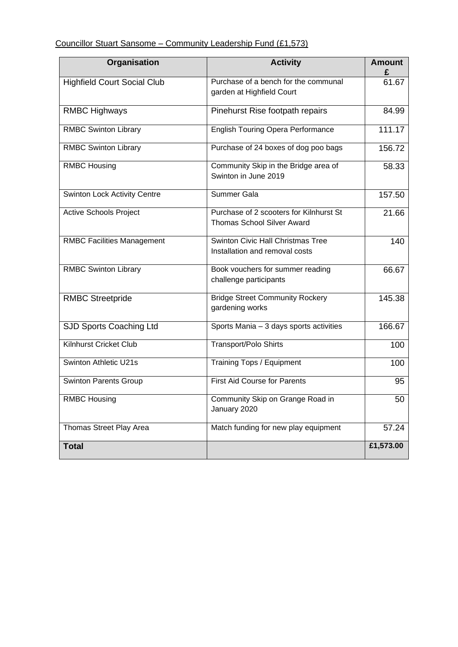# Councillor Stuart Sansome – Community Leadership Fund (£1,573)

| Organisation                        | <b>Activity</b>                                                              | <b>Amount</b><br>£ |
|-------------------------------------|------------------------------------------------------------------------------|--------------------|
| <b>Highfield Court Social Club</b>  | Purchase of a bench for the communal<br>garden at Highfield Court            | 61.67              |
| <b>RMBC Highways</b>                | Pinehurst Rise footpath repairs                                              | 84.99              |
| <b>RMBC Swinton Library</b>         | <b>English Touring Opera Performance</b>                                     | 111.17             |
| <b>RMBC Swinton Library</b>         | Purchase of 24 boxes of dog poo bags                                         | 156.72             |
| <b>RMBC Housing</b>                 | Community Skip in the Bridge area of<br>Swinton in June 2019                 | 58.33              |
| <b>Swinton Lock Activity Centre</b> | Summer Gala                                                                  | 157.50             |
| <b>Active Schools Project</b>       | Purchase of 2 scooters for Kilnhurst St<br><b>Thomas School Silver Award</b> | 21.66              |
| <b>RMBC Facilities Management</b>   | Swinton Civic Hall Christmas Tree<br>Installation and removal costs          | 140                |
| <b>RMBC Swinton Library</b>         | Book vouchers for summer reading<br>challenge participants                   | 66.67              |
| <b>RMBC Streetpride</b>             | <b>Bridge Street Community Rockery</b><br>gardening works                    | 145.38             |
| SJD Sports Coaching Ltd             | Sports Mania - 3 days sports activities                                      | 166.67             |
| Kilnhurst Cricket Club              | <b>Transport/Polo Shirts</b>                                                 | 100                |
| Swinton Athletic U21s               | Training Tops / Equipment                                                    | 100                |
| <b>Swinton Parents Group</b>        | <b>First Aid Course for Parents</b>                                          | 95                 |
| <b>RMBC Housing</b>                 | Community Skip on Grange Road in<br>January 2020                             | 50                 |
| Thomas Street Play Area             | Match funding for new play equipment                                         | 57.24              |
| <b>Total</b>                        |                                                                              | £1,573.00          |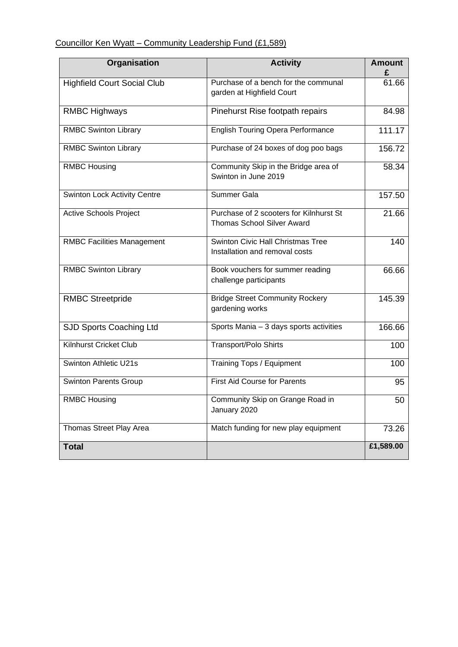## Councillor Ken Wyatt – Community Leadership Fund (£1,589)

| Organisation                        | <b>Activity</b>                                                              | <b>Amount</b><br>£ |
|-------------------------------------|------------------------------------------------------------------------------|--------------------|
| <b>Highfield Court Social Club</b>  | Purchase of a bench for the communal<br>garden at Highfield Court            | 61.66              |
| <b>RMBC Highways</b>                | Pinehurst Rise footpath repairs                                              | 84.98              |
| <b>RMBC Swinton Library</b>         | <b>English Touring Opera Performance</b>                                     | 111.17             |
| <b>RMBC Swinton Library</b>         | Purchase of 24 boxes of dog poo bags                                         | 156.72             |
| <b>RMBC Housing</b>                 | Community Skip in the Bridge area of<br>Swinton in June 2019                 | 58.34              |
| <b>Swinton Lock Activity Centre</b> | Summer Gala                                                                  | 157.50             |
| <b>Active Schools Project</b>       | Purchase of 2 scooters for Kilnhurst St<br><b>Thomas School Silver Award</b> | 21.66              |
| <b>RMBC Facilities Management</b>   | <b>Swinton Civic Hall Christmas Tree</b><br>Installation and removal costs   | 140                |
| <b>RMBC Swinton Library</b>         | Book vouchers for summer reading<br>challenge participants                   | 66.66              |
| <b>RMBC Streetpride</b>             | <b>Bridge Street Community Rockery</b><br>gardening works                    | 145.39             |
| SJD Sports Coaching Ltd             | Sports Mania - 3 days sports activities                                      | 166.66             |
| Kilnhurst Cricket Club              | Transport/Polo Shirts                                                        | 100                |
| Swinton Athletic U21s               | Training Tops / Equipment                                                    | 100                |
| <b>Swinton Parents Group</b>        | <b>First Aid Course for Parents</b>                                          | 95                 |
| <b>RMBC Housing</b>                 | Community Skip on Grange Road in<br>January 2020                             | 50                 |
| Thomas Street Play Area             | Match funding for new play equipment                                         | 73.26              |
| <b>Total</b>                        |                                                                              | £1,589.00          |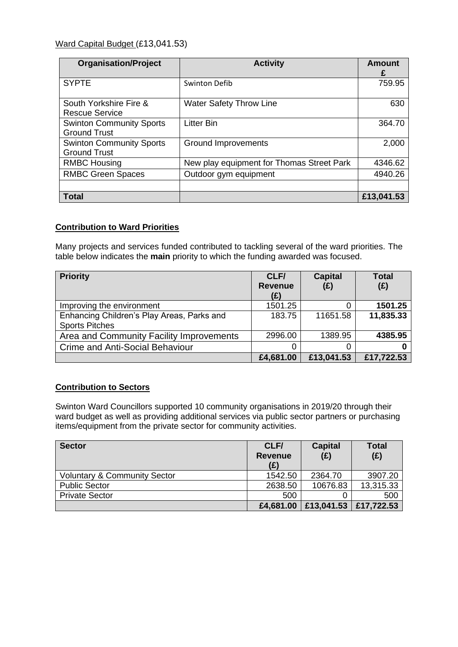| <b>Organisation/Project</b>                            | <b>Activity</b>                           | <b>Amount</b><br>£ |
|--------------------------------------------------------|-------------------------------------------|--------------------|
| <b>SYPTE</b>                                           | Swinton Defib                             | 759.95             |
| South Yorkshire Fire &<br><b>Rescue Service</b>        | <b>Water Safety Throw Line</b>            | 630                |
| <b>Swinton Community Sports</b><br><b>Ground Trust</b> | <b>Litter Bin</b>                         | 364.70             |
| <b>Swinton Community Sports</b><br><b>Ground Trust</b> | Ground Improvements                       | 2,000              |
| <b>RMBC Housing</b>                                    | New play equipment for Thomas Street Park | 4346.62            |
| <b>RMBC Green Spaces</b>                               | Outdoor gym equipment                     | 4940.26            |
| <b>Total</b>                                           |                                           | £13,041.53         |

#### **Contribution to Ward Priorities**

Many projects and services funded contributed to tackling several of the ward priorities. The table below indicates the **main** priority to which the funding awarded was focused.

| <b>Priority</b>                            | CLF/<br><b>Revenue</b><br>(£) | <b>Capital</b><br>(E) | <b>Total</b><br>(E) |
|--------------------------------------------|-------------------------------|-----------------------|---------------------|
| Improving the environment                  | 1501.25                       |                       | 1501.25             |
| Enhancing Children's Play Areas, Parks and | 183.75                        | 11651.58              | 11,835.33           |
| <b>Sports Pitches</b>                      |                               |                       |                     |
| Area and Community Facility Improvements   | 2996.00                       | 1389.95               | 4385.95             |
| <b>Crime and Anti-Social Behaviour</b>     | 0                             |                       |                     |
|                                            | £4,681.00                     | £13,041.53            | £17,722.53          |

#### **Contribution to Sectors**

Swinton Ward Councillors supported 10 community organisations in 2019/20 through their ward budget as well as providing additional services via public sector partners or purchasing items/equipment from the private sector for community activities.

| <b>Sector</b>                           | CLF/<br><b>Revenue</b><br>(E) | Capital<br>(E) | <b>Total</b><br>(E) |
|-----------------------------------------|-------------------------------|----------------|---------------------|
| <b>Voluntary &amp; Community Sector</b> | 1542.50                       | 2364.70        | 3907.20             |
| <b>Public Sector</b>                    | 2638.50                       | 10676.83       | 13,315.33           |
| <b>Private Sector</b>                   | 500                           |                | 500                 |
|                                         | £4,681.00                     | £13,041.53     | £17,722.53          |